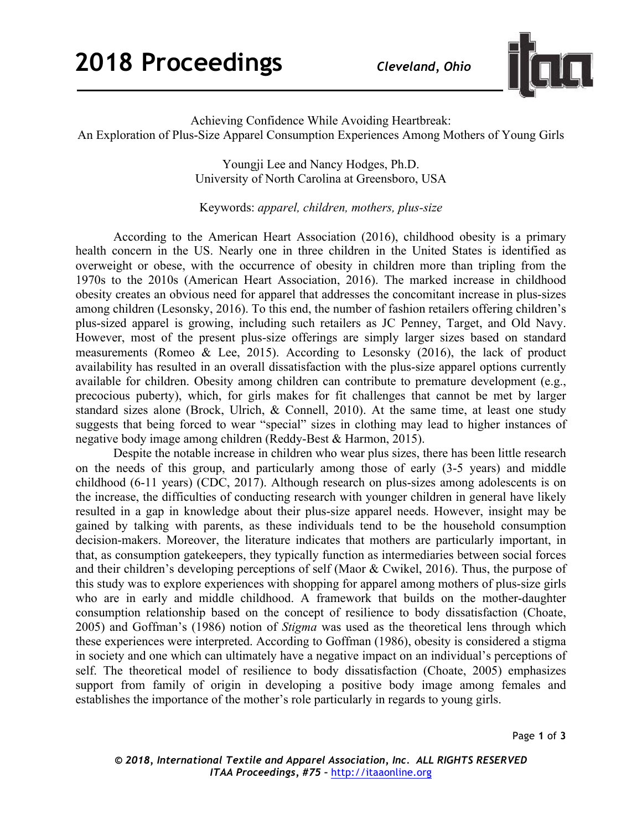

Achieving Confidence While Avoiding Heartbreak: An Exploration of Plus-Size Apparel Consumption Experiences Among Mothers of Young Girls

> Youngji Lee and Nancy Hodges, Ph.D. University of North Carolina at Greensboro, USA

Keywords: *apparel, children, mothers, plus-size*

According to the American Heart Association (2016), childhood obesity is a primary health concern in the US. Nearly one in three children in the United States is identified as overweight or obese, with the occurrence of obesity in children more than tripling from the 1970s to the 2010s (American Heart Association, 2016). The marked increase in childhood obesity creates an obvious need for apparel that addresses the concomitant increase in plus-sizes among children (Lesonsky, 2016). To this end, the number of fashion retailers offering children's plus-sized apparel is growing, including such retailers as JC Penney, Target, and Old Navy. However, most of the present plus-size offerings are simply larger sizes based on standard measurements (Romeo & Lee, 2015). According to Lesonsky (2016), the lack of product availability has resulted in an overall dissatisfaction with the plus-size apparel options currently available for children. Obesity among children can contribute to premature development (e.g., precocious puberty), which, for girls makes for fit challenges that cannot be met by larger standard sizes alone (Brock, Ulrich, & Connell, 2010). At the same time, at least one study suggests that being forced to wear "special" sizes in clothing may lead to higher instances of negative body image among children (Reddy-Best & Harmon, 2015).

Despite the notable increase in children who wear plus sizes, there has been little research on the needs of this group, and particularly among those of early (3-5 years) and middle childhood (6-11 years) (CDC, 2017). Although research on plus-sizes among adolescents is on the increase, the difficulties of conducting research with younger children in general have likely resulted in a gap in knowledge about their plus-size apparel needs. However, insight may be gained by talking with parents, as these individuals tend to be the household consumption decision-makers. Moreover, the literature indicates that mothers are particularly important, in that, as consumption gatekeepers, they typically function as intermediaries between social forces and their children's developing perceptions of self (Maor & Cwikel, 2016). Thus, the purpose of this study was to explore experiences with shopping for apparel among mothers of plus-size girls who are in early and middle childhood. A framework that builds on the mother-daughter consumption relationship based on the concept of resilience to body dissatisfaction (Choate, 2005) and Goffman's (1986) notion of *Stigma* was used as the theoretical lens through which these experiences were interpreted. According to Goffman (1986), obesity is considered a stigma in society and one which can ultimately have a negative impact on an individual's perceptions of self. The theoretical model of resilience to body dissatisfaction (Choate, 2005) emphasizes support from family of origin in developing a positive body image among females and establishes the importance of the mother's role particularly in regards to young girls.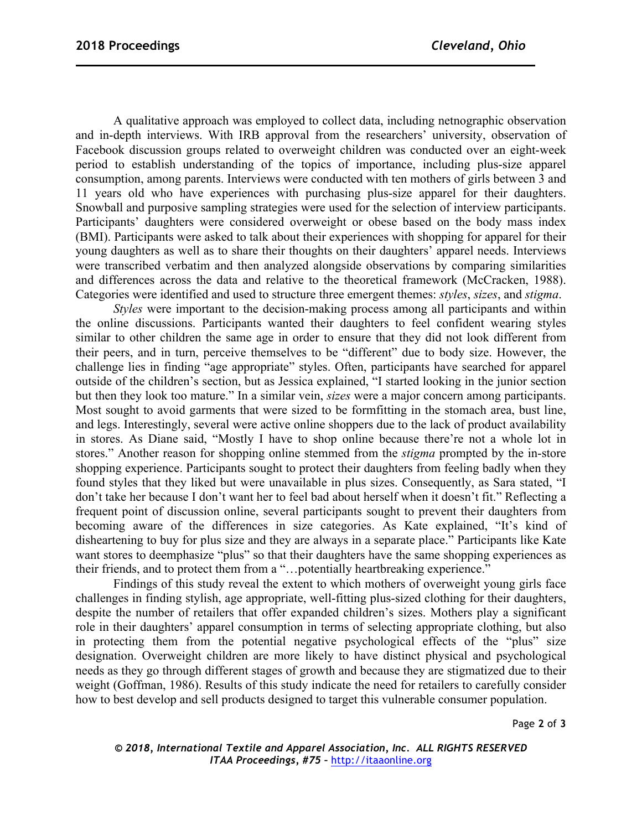A qualitative approach was employed to collect data, including netnographic observation and in-depth interviews. With IRB approval from the researchers' university, observation of Facebook discussion groups related to overweight children was conducted over an eight-week period to establish understanding of the topics of importance, including plus-size apparel consumption, among parents. Interviews were conducted with ten mothers of girls between 3 and 11 years old who have experiences with purchasing plus-size apparel for their daughters. Snowball and purposive sampling strategies were used for the selection of interview participants. Participants' daughters were considered overweight or obese based on the body mass index (BMI). Participants were asked to talk about their experiences with shopping for apparel for their young daughters as well as to share their thoughts on their daughters' apparel needs. Interviews were transcribed verbatim and then analyzed alongside observations by comparing similarities and differences across the data and relative to the theoretical framework (McCracken, 1988). Categories were identified and used to structure three emergent themes: *styles*, *sizes*, and *stigma*.

*Styles* were important to the decision-making process among all participants and within the online discussions. Participants wanted their daughters to feel confident wearing styles similar to other children the same age in order to ensure that they did not look different from their peers, and in turn, perceive themselves to be "different" due to body size. However, the challenge lies in finding "age appropriate" styles. Often, participants have searched for apparel outside of the children's section, but as Jessica explained, "I started looking in the junior section but then they look too mature." In a similar vein, *sizes* were a major concern among participants. Most sought to avoid garments that were sized to be formfitting in the stomach area, bust line, and legs. Interestingly, several were active online shoppers due to the lack of product availability in stores. As Diane said, "Mostly I have to shop online because there're not a whole lot in stores." Another reason for shopping online stemmed from the *stigma* prompted by the in-store shopping experience. Participants sought to protect their daughters from feeling badly when they found styles that they liked but were unavailable in plus sizes. Consequently, as Sara stated, "I don't take her because I don't want her to feel bad about herself when it doesn't fit." Reflecting a frequent point of discussion online, several participants sought to prevent their daughters from becoming aware of the differences in size categories. As Kate explained, "It's kind of disheartening to buy for plus size and they are always in a separate place." Participants like Kate want stores to deemphasize "plus" so that their daughters have the same shopping experiences as their friends, and to protect them from a "…potentially heartbreaking experience."

Findings of this study reveal the extent to which mothers of overweight young girls face challenges in finding stylish, age appropriate, well-fitting plus-sized clothing for their daughters, despite the number of retailers that offer expanded children's sizes. Mothers play a significant role in their daughters' apparel consumption in terms of selecting appropriate clothing, but also in protecting them from the potential negative psychological effects of the "plus" size designation. Overweight children are more likely to have distinct physical and psychological needs as they go through different stages of growth and because they are stigmatized due to their weight (Goffman, 1986). Results of this study indicate the need for retailers to carefully consider how to best develop and sell products designed to target this vulnerable consumer population.

Page **2** of **3**